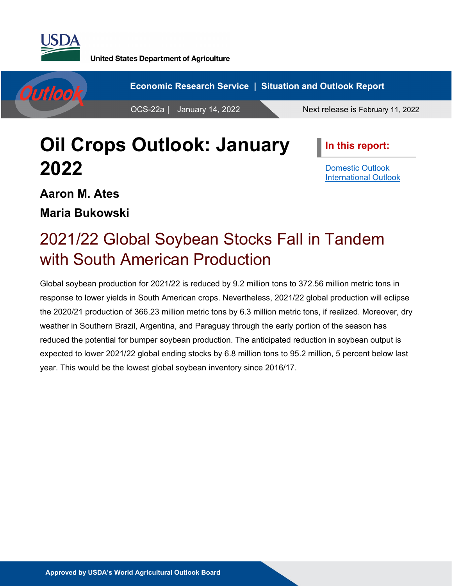



# **Oil Crops Outlook: January 2022**

**In this report:**

[Domestic Outlook](#page-2-0) [International Outlook](#page-7-0)

**Aaron M. Ates**

**Maria Bukowski**

## 2021/22 Global Soybean Stocks Fall in Tandem with South American Production

Global soybean production for 2021/22 is reduced by 9.2 million tons to 372.56 million metric tons in response to lower yields in South American crops. Nevertheless, 2021/22 global production will eclipse the 2020/21 production of 366.23 million metric tons by 6.3 million metric tons, if realized. Moreover, dry weather in Southern Brazil, Argentina, and Paraguay through the early portion of the season has reduced the potential for bumper soybean production. The anticipated reduction in soybean output is expected to lower 2021/22 global ending stocks by 6.8 million tons to 95.2 million, 5 percent below last year. This would be the lowest global soybean inventory since 2016/17.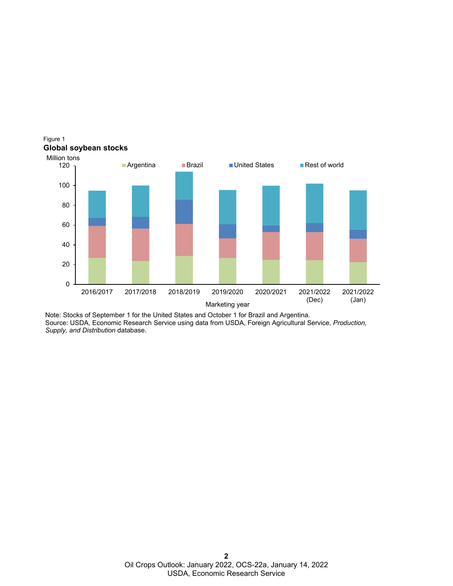

Figure 1 **Global soybean stocks**

Note: Stocks of September 1 for the United States and October 1 for Brazil and Argentina. Source: USDA, Economic Research Service using data from USDA, Foreign Agricultural Service, *Production, Supply, and Distribution* database.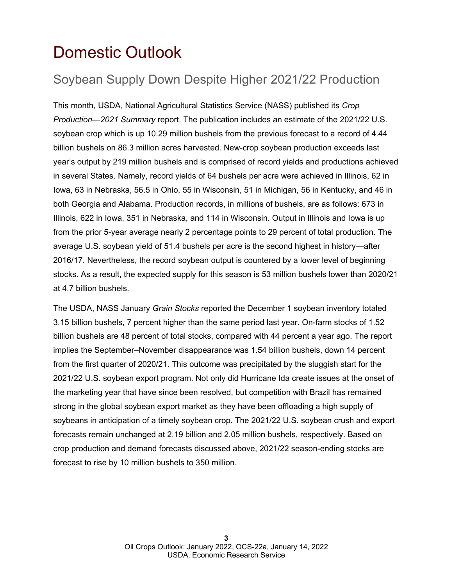### <span id="page-2-0"></span>Domestic Outlook

### Soybean Supply Down Despite Higher 2021/22 Production

This month, USDA, National Agricultural Statistics Service (NASS) published its *Crop Production—2021 Summary* report. The publication includes an estimate of the 2021/22 U.S. soybean crop which is up 10.29 million bushels from the previous forecast to a record of 4.44 billion bushels on 86.3 million acres harvested. New-crop soybean production exceeds last year's output by 219 million bushels and is comprised of record yields and productions achieved in several States. Namely, record yields of 64 bushels per acre were achieved in Illinois, 62 in Iowa, 63 in Nebraska, 56.5 in Ohio, 55 in Wisconsin, 51 in Michigan, 56 in Kentucky, and 46 in both Georgia and Alabama. Production records, in millions of bushels, are as follows: 673 in Illinois, 622 in Iowa, 351 in Nebraska, and 114 in Wisconsin. Output in Illinois and Iowa is up from the prior 5-year average nearly 2 percentage points to 29 percent of total production. The average U.S. soybean yield of 51.4 bushels per acre is the second highest in history—after 2016/17. Nevertheless, the record soybean output is countered by a lower level of beginning stocks. As a result, the expected supply for this season is 53 million bushels lower than 2020/21 at 4.7 billion bushels.

The USDA, NASS January *Grain Stocks* reported the December 1 soybean inventory totaled 3.15 billion bushels, 7 percent higher than the same period last year. On-farm stocks of 1.52 billion bushels are 48 percent of total stocks, compared with 44 percent a year ago. The report implies the September–November disappearance was 1.54 billion bushels, down 14 percent from the first quarter of 2020/21. This outcome was precipitated by the sluggish start for the 2021/22 U.S. soybean export program. Not only did Hurricane Ida create issues at the onset of the marketing year that have since been resolved, but competition with Brazil has remained strong in the global soybean export market as they have been offloading a high supply of soybeans in anticipation of a timely soybean crop. The 2021/22 U.S. soybean crush and export forecasts remain unchanged at 2.19 billion and 2.05 million bushels, respectively. Based on crop production and demand forecasts discussed above, 2021/22 season-ending stocks are forecast to rise by 10 million bushels to 350 million.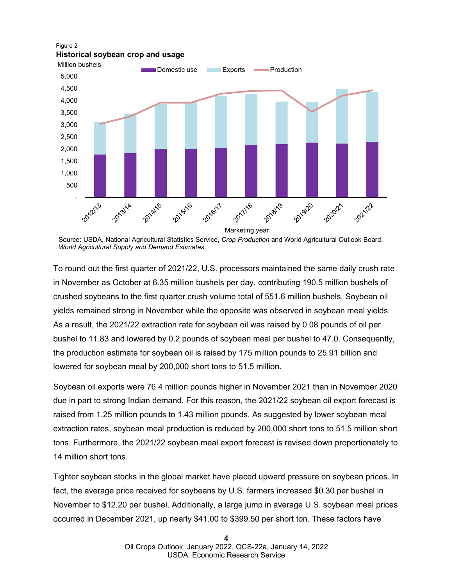#### Figure 2 **Historical soybean crop and usage**



Source: USDA, National Agricultural Statistics Service, *Crop Production* and World Agricultural Outlook Board, *World Agricultural Supply and Demand Estimates*.

To round out the first quarter of 2021/22, U.S. processors maintained the same daily crush rate in November as October at 6.35 million bushels per day, contributing 190.5 million bushels of crushed soybeans to the first quarter crush volume total of 551.6 million bushels. Soybean oil yields remained strong in November while the opposite was observed in soybean meal yields. As a result, the 2021/22 extraction rate for soybean oil was raised by 0.08 pounds of oil per bushel to 11.83 and lowered by 0.2 pounds of soybean meal per bushel to 47.0. Consequently, the production estimate for soybean oil is raised by 175 million pounds to 25.91 billion and lowered for soybean meal by 200,000 short tons to 51.5 million.

Soybean oil exports were 76.4 million pounds higher in November 2021 than in November 2020 due in part to strong Indian demand. For this reason, the 2021/22 soybean oil export forecast is raised from 1.25 million pounds to 1.43 million pounds. As suggested by lower soybean meal extraction rates, soybean meal production is reduced by 200,000 short tons to 51.5 million short tons. Furthermore, the 2021/22 soybean meal export forecast is revised down proportionately to 14 million short tons.

Tighter soybean stocks in the global market have placed upward pressure on soybean prices. In fact, the average price received for soybeans by U.S. farmers increased \$0.30 per bushel in November to \$12.20 per bushel. Additionally, a large jump in average U.S. soybean meal prices occurred in December 2021, up nearly \$41.00 to \$399.50 per short ton. These factors have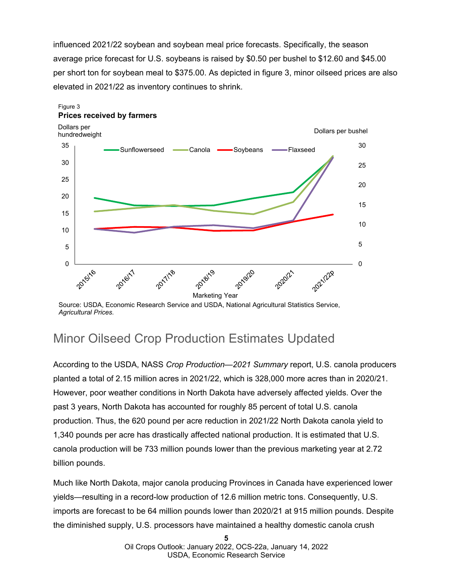influenced 2021/22 soybean and soybean meal price forecasts. Specifically, the season average price forecast for U.S. soybeans is raised by \$0.50 per bushel to \$12.60 and \$45.00 per short ton for soybean meal to \$375.00. As depicted in figure 3, minor oilseed prices are also elevated in 2021/22 as inventory continues to shrink.



Source: USDA, Economic Research Service and USDA, National Agricultural Statistics Service, *Agricultural Prices.* 

#### Minor Oilseed Crop Production Estimates Updated

According to the USDA, NASS *Crop Production—2021 Summary* report, U.S. canola producers planted a total of 2.15 million acres in 2021/22, which is 328,000 more acres than in 2020/21. However, poor weather conditions in North Dakota have adversely affected yields. Over the past 3 years, North Dakota has accounted for roughly 85 percent of total U.S. canola production. Thus, the 620 pound per acre reduction in 2021/22 North Dakota canola yield to 1,340 pounds per acre has drastically affected national production. It is estimated that U.S. canola production will be 733 million pounds lower than the previous marketing year at 2.72 billion pounds.

Much like North Dakota, major canola producing Provinces in Canada have experienced lower yields—resulting in a record-low production of 12.6 million metric tons. Consequently, U.S. imports are forecast to be 64 million pounds lower than 2020/21 at 915 million pounds. Despite the diminished supply, U.S. processors have maintained a healthy domestic canola crush

> **5** Oil Crops Outlook: January 2022, OCS-22a, January 14, 2022 USDA, Economic Research Service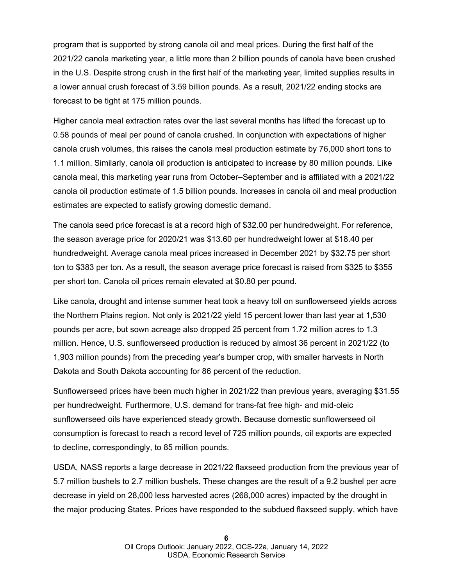program that is supported by strong canola oil and meal prices. During the first half of the 2021/22 canola marketing year, a little more than 2 billion pounds of canola have been crushed in the U.S. Despite strong crush in the first half of the marketing year, limited supplies results in a lower annual crush forecast of 3.59 billion pounds. As a result, 2021/22 ending stocks are forecast to be tight at 175 million pounds.

Higher canola meal extraction rates over the last several months has lifted the forecast up to 0.58 pounds of meal per pound of canola crushed. In conjunction with expectations of higher canola crush volumes, this raises the canola meal production estimate by 76,000 short tons to 1.1 million. Similarly, canola oil production is anticipated to increase by 80 million pounds. Like canola meal, this marketing year runs from October–September and is affiliated with a 2021/22 canola oil production estimate of 1.5 billion pounds. Increases in canola oil and meal production estimates are expected to satisfy growing domestic demand.

The canola seed price forecast is at a record high of \$32.00 per hundredweight. For reference, the season average price for 2020/21 was \$13.60 per hundredweight lower at \$18.40 per hundredweight. Average canola meal prices increased in December 2021 by \$32.75 per short ton to \$383 per ton. As a result, the season average price forecast is raised from \$325 to \$355 per short ton. Canola oil prices remain elevated at \$0.80 per pound.

Like canola, drought and intense summer heat took a heavy toll on sunflowerseed yields across the Northern Plains region. Not only is 2021/22 yield 15 percent lower than last year at 1,530 pounds per acre, but sown acreage also dropped 25 percent from 1.72 million acres to 1.3 million. Hence, U.S. sunflowerseed production is reduced by almost 36 percent in 2021/22 (to 1,903 million pounds) from the preceding year's bumper crop, with smaller harvests in North Dakota and South Dakota accounting for 86 percent of the reduction.

Sunflowerseed prices have been much higher in 2021/22 than previous years, averaging \$31.55 per hundredweight. Furthermore, U.S. demand for trans-fat free high- and mid-oleic sunflowerseed oils have experienced steady growth. Because domestic sunflowerseed oil consumption is forecast to reach a record level of 725 million pounds, oil exports are expected to decline, correspondingly, to 85 million pounds.

USDA, NASS reports a large decrease in 2021/22 flaxseed production from the previous year of 5.7 million bushels to 2.7 million bushels. These changes are the result of a 9.2 bushel per acre decrease in yield on 28,000 less harvested acres (268,000 acres) impacted by the drought in the major producing States. Prices have responded to the subdued flaxseed supply, which have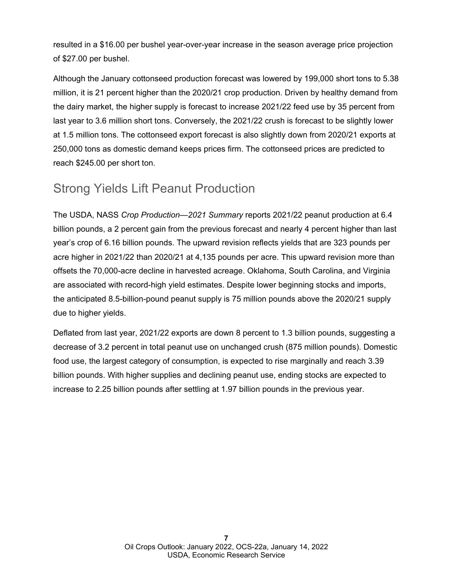resulted in a \$16.00 per bushel year-over-year increase in the season average price projection of \$27.00 per bushel.

Although the January cottonseed production forecast was lowered by 199,000 short tons to 5.38 million, it is 21 percent higher than the 2020/21 crop production. Driven by healthy demand from the dairy market, the higher supply is forecast to increase 2021/22 feed use by 35 percent from last year to 3.6 million short tons. Conversely, the 2021/22 crush is forecast to be slightly lower at 1.5 million tons. The cottonseed export forecast is also slightly down from 2020/21 exports at 250,000 tons as domestic demand keeps prices firm. The cottonseed prices are predicted to reach \$245.00 per short ton.

#### Strong Yields Lift Peanut Production

The USDA, NASS *Crop Production—2021 Summary* reports 2021/22 peanut production at 6.4 billion pounds, a 2 percent gain from the previous forecast and nearly 4 percent higher than last year's crop of 6.16 billion pounds. The upward revision reflects yields that are 323 pounds per acre higher in 2021/22 than 2020/21 at 4,135 pounds per acre. This upward revision more than offsets the 70,000-acre decline in harvested acreage. Oklahoma, South Carolina, and Virginia are associated with record-high yield estimates. Despite lower beginning stocks and imports, the anticipated 8.5-billion-pound peanut supply is 75 million pounds above the 2020/21 supply due to higher yields.

Deflated from last year, 2021/22 exports are down 8 percent to 1.3 billion pounds, suggesting a decrease of 3.2 percent in total peanut use on unchanged crush (875 million pounds). Domestic food use, the largest category of consumption, is expected to rise marginally and reach 3.39 billion pounds. With higher supplies and declining peanut use, ending stocks are expected to increase to 2.25 billion pounds after settling at 1.97 billion pounds in the previous year.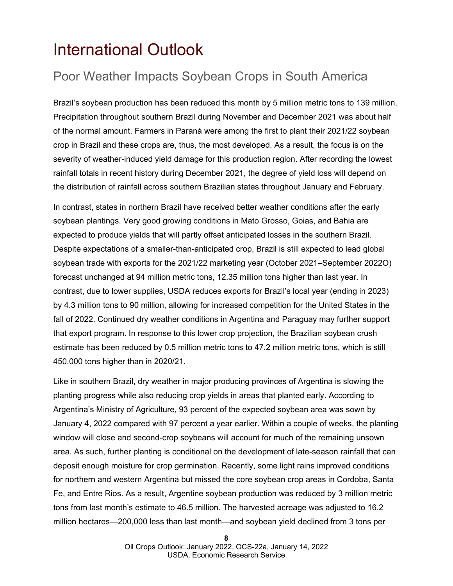### <span id="page-7-0"></span>International Outlook

#### Poor Weather Impacts Soybean Crops in South America

Brazil's soybean production has been reduced this month by 5 million metric tons to 139 million. Precipitation throughout southern Brazil during November and December 2021 was about half of the normal amount. Farmers in Paraná were among the first to plant their 2021/22 soybean crop in Brazil and these crops are, thus, the most developed. As a result, the focus is on the severity of weather-induced yield damage for this production region. After recording the lowest rainfall totals in recent history during December 2021, the degree of yield loss will depend on the distribution of rainfall across southern Brazilian states throughout January and February.

In contrast, states in northern Brazil have received better weather conditions after the early soybean plantings. Very good growing conditions in Mato Grosso, Goias, and Bahia are expected to produce yields that will partly offset anticipated losses in the southern Brazil. Despite expectations of a smaller-than-anticipated crop, Brazil is still expected to lead global soybean trade with exports for the 2021/22 marketing year (October 2021–September 2022O) forecast unchanged at 94 million metric tons, 12.35 million tons higher than last year. In contrast, due to lower supplies, USDA reduces exports for Brazil's local year (ending in 2023) by 4.3 million tons to 90 million, allowing for increased competition for the United States in the fall of 2022. Continued dry weather conditions in Argentina and Paraguay may further support that export program. In response to this lower crop projection, the Brazilian soybean crush estimate has been reduced by 0.5 million metric tons to 47.2 million metric tons, which is still 450,000 tons higher than in 2020/21.

Like in southern Brazil, dry weather in major producing provinces of Argentina is slowing the planting progress while also reducing crop yields in areas that planted early. According to Argentina's Ministry of Agriculture, 93 percent of the expected soybean area was sown by January 4, 2022 compared with 97 percent a year earlier. Within a couple of weeks, the planting window will close and second-crop soybeans will account for much of the remaining unsown area. As such, further planting is conditional on the development of late-season rainfall that can deposit enough moisture for crop germination. Recently, some light rains improved conditions for northern and western Argentina but missed the core soybean crop areas in Cordoba, Santa Fe, and Entre Rios. As a result, Argentine soybean production was reduced by 3 million metric tons from last month's estimate to 46.5 million. The harvested acreage was adjusted to 16.2 million hectares—200,000 less than last month—and soybean yield declined from 3 tons per

> **8** Oil Crops Outlook: January 2022, OCS-22a, January 14, 2022 USDA, Economic Research Service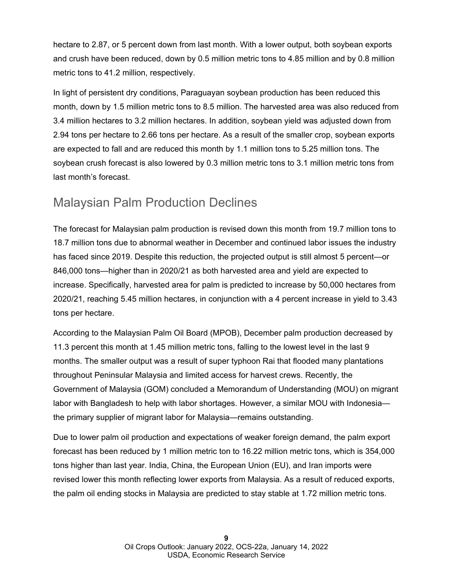hectare to 2.87, or 5 percent down from last month. With a lower output, both soybean exports and crush have been reduced, down by 0.5 million metric tons to 4.85 million and by 0.8 million metric tons to 41.2 million, respectively.

In light of persistent dry conditions, Paraguayan soybean production has been reduced this month, down by 1.5 million metric tons to 8.5 million. The harvested area was also reduced from 3.4 million hectares to 3.2 million hectares. In addition, soybean yield was adjusted down from 2.94 tons per hectare to 2.66 tons per hectare. As a result of the smaller crop, soybean exports are expected to fall and are reduced this month by 1.1 million tons to 5.25 million tons. The soybean crush forecast is also lowered by 0.3 million metric tons to 3.1 million metric tons from last month's forecast.

#### Malaysian Palm Production Declines

The forecast for Malaysian palm production is revised down this month from 19.7 million tons to 18.7 million tons due to abnormal weather in December and continued labor issues the industry has faced since 2019. Despite this reduction, the projected output is still almost 5 percent—or 846,000 tons—higher than in 2020/21 as both harvested area and yield are expected to increase. Specifically, harvested area for palm is predicted to increase by 50,000 hectares from 2020/21, reaching 5.45 million hectares, in conjunction with a 4 percent increase in yield to 3.43 tons per hectare.

According to the Malaysian Palm Oil Board (MPOB), December palm production decreased by 11.3 percent this month at 1.45 million metric tons, falling to the lowest level in the last 9 months. The smaller output was a result of super typhoon Rai that flooded many plantations throughout Peninsular Malaysia and limited access for harvest crews. Recently, the Government of Malaysia (GOM) concluded a Memorandum of Understanding (MOU) on migrant labor with Bangladesh to help with labor shortages. However, a similar MOU with Indonesia the primary supplier of migrant labor for Malaysia—remains outstanding.

Due to lower palm oil production and expectations of weaker foreign demand, the palm export forecast has been reduced by 1 million metric ton to 16.22 million metric tons, which is 354,000 tons higher than last year. India, China, the European Union (EU), and Iran imports were revised lower this month reflecting lower exports from Malaysia. As a result of reduced exports, the palm oil ending stocks in Malaysia are predicted to stay stable at 1.72 million metric tons.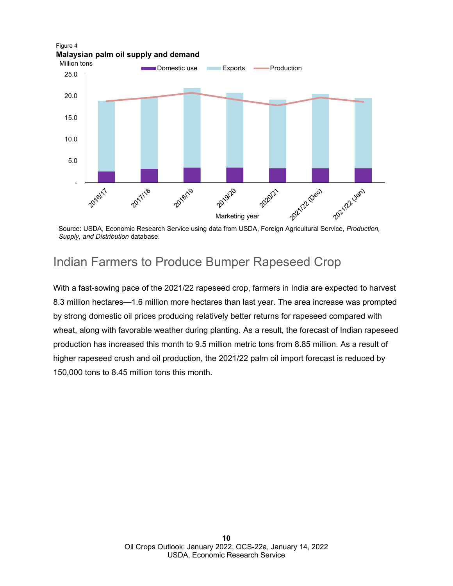

Source: USDA, Economic Research Service using data from USDA, Foreign Agricultural Service, *Production, Supply, and Distribution* database.

#### Indian Farmers to Produce Bumper Rapeseed Crop

With a fast-sowing pace of the 2021/22 rapeseed crop, farmers in India are expected to harvest 8.3 million hectares—1.6 million more hectares than last year. The area increase was prompted by strong domestic oil prices producing relatively better returns for rapeseed compared with wheat, along with favorable weather during planting. As a result, the forecast of Indian rapeseed production has increased this month to 9.5 million metric tons from 8.85 million. As a result of higher rapeseed crush and oil production, the 2021/22 palm oil import forecast is reduced by 150,000 tons to 8.45 million tons this month.